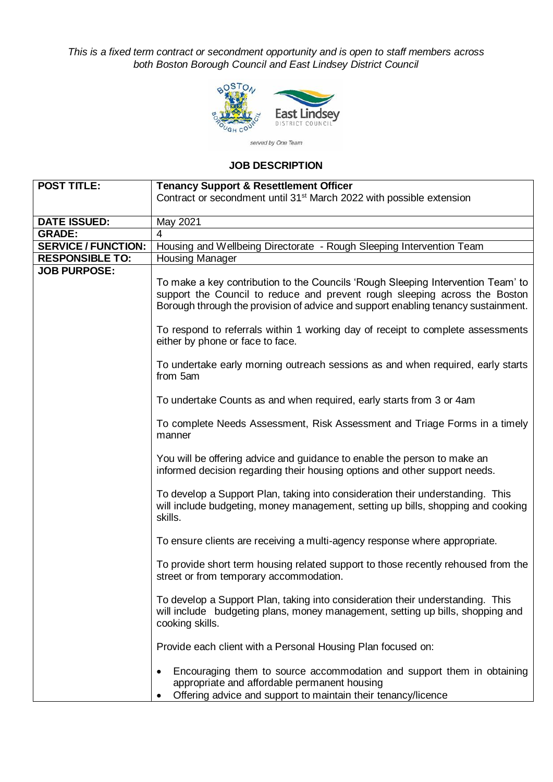*This is a fixed term contract or secondment opportunity and is open to staff members across both Boston Borough Council and East Lindsey District Council*



## **JOB DESCRIPTION**

| <b>POST TITLE:</b>         | <b>Tenancy Support &amp; Resettlement Officer</b>                                                                                                                                       |  |  |  |
|----------------------------|-----------------------------------------------------------------------------------------------------------------------------------------------------------------------------------------|--|--|--|
|                            | Contract or secondment until 31 <sup>st</sup> March 2022 with possible extension                                                                                                        |  |  |  |
|                            |                                                                                                                                                                                         |  |  |  |
| <b>DATE ISSUED:</b>        | May 2021                                                                                                                                                                                |  |  |  |
| <b>GRADE:</b>              | 4                                                                                                                                                                                       |  |  |  |
| <b>SERVICE / FUNCTION:</b> | Housing and Wellbeing Directorate - Rough Sleeping Intervention Team                                                                                                                    |  |  |  |
| <b>RESPONSIBLE TO:</b>     | Housing Manager                                                                                                                                                                         |  |  |  |
| <b>JOB PURPOSE:</b>        |                                                                                                                                                                                         |  |  |  |
|                            | To make a key contribution to the Councils 'Rough Sleeping Intervention Team' to                                                                                                        |  |  |  |
|                            | support the Council to reduce and prevent rough sleeping across the Boston<br>Borough through the provision of advice and support enabling tenancy sustainment.                         |  |  |  |
|                            | To respond to referrals within 1 working day of receipt to complete assessments<br>either by phone or face to face.                                                                     |  |  |  |
|                            | To undertake early morning outreach sessions as and when required, early starts<br>from 5am                                                                                             |  |  |  |
|                            | To undertake Counts as and when required, early starts from 3 or 4am                                                                                                                    |  |  |  |
|                            | To complete Needs Assessment, Risk Assessment and Triage Forms in a timely<br>manner                                                                                                    |  |  |  |
|                            | You will be offering advice and guidance to enable the person to make an<br>informed decision regarding their housing options and other support needs.                                  |  |  |  |
|                            | To develop a Support Plan, taking into consideration their understanding. This<br>will include budgeting, money management, setting up bills, shopping and cooking<br>skills.           |  |  |  |
|                            | To ensure clients are receiving a multi-agency response where appropriate.                                                                                                              |  |  |  |
|                            | To provide short term housing related support to those recently rehoused from the<br>street or from temporary accommodation.                                                            |  |  |  |
|                            | To develop a Support Plan, taking into consideration their understanding. This<br>will include budgeting plans, money management, setting up bills, shopping and<br>cooking skills.     |  |  |  |
|                            | Provide each client with a Personal Housing Plan focused on:                                                                                                                            |  |  |  |
|                            | Encouraging them to source accommodation and support them in obtaining<br>appropriate and affordable permanent housing<br>Offering advice and support to maintain their tenancy/licence |  |  |  |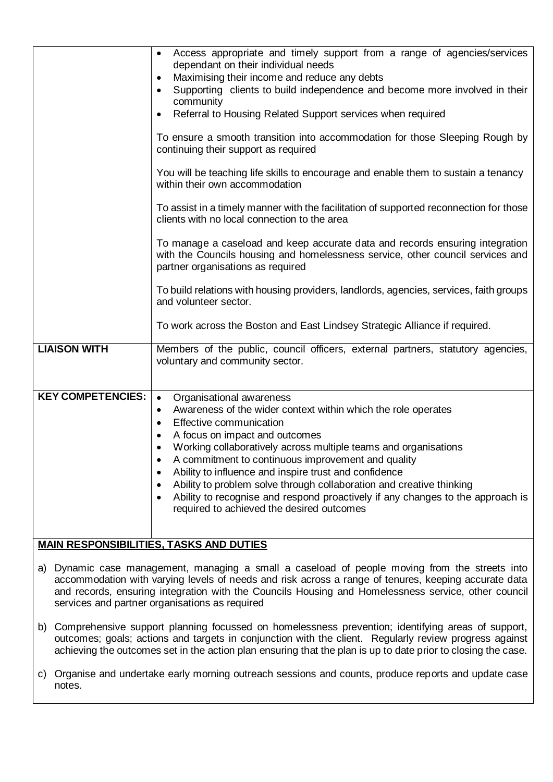|                                                | Access appropriate and timely support from a range of agencies/services<br>dependant on their individual needs<br>Maximising their income and reduce any debts<br>Supporting clients to build independence and become more involved in their<br>community<br>Referral to Housing Related Support services when required<br>To ensure a smooth transition into accommodation for those Sleeping Rough by<br>continuing their support as required<br>You will be teaching life skills to encourage and enable them to sustain a tenancy<br>within their own accommodation<br>To assist in a timely manner with the facilitation of supported reconnection for those<br>clients with no local connection to the area<br>To manage a caseload and keep accurate data and records ensuring integration<br>with the Councils housing and homelessness service, other council services and<br>partner organisations as required<br>To build relations with housing providers, landlords, agencies, services, faith groups<br>and volunteer sector.<br>To work across the Boston and East Lindsey Strategic Alliance if required. |  |  |
|------------------------------------------------|---------------------------------------------------------------------------------------------------------------------------------------------------------------------------------------------------------------------------------------------------------------------------------------------------------------------------------------------------------------------------------------------------------------------------------------------------------------------------------------------------------------------------------------------------------------------------------------------------------------------------------------------------------------------------------------------------------------------------------------------------------------------------------------------------------------------------------------------------------------------------------------------------------------------------------------------------------------------------------------------------------------------------------------------------------------------------------------------------------------------------|--|--|
| <b>LIAISON WITH</b>                            | Members of the public, council officers, external partners, statutory agencies,<br>voluntary and community sector.                                                                                                                                                                                                                                                                                                                                                                                                                                                                                                                                                                                                                                                                                                                                                                                                                                                                                                                                                                                                        |  |  |
| <b>KEY COMPETENCIES:</b>                       | Organisational awareness<br>$\bullet$<br>Awareness of the wider context within which the role operates<br>$\bullet$<br>Effective communication<br>$\bullet$<br>A focus on impact and outcomes<br>Working collaboratively across multiple teams and organisations<br>A commitment to continuous improvement and quality<br>Ability to influence and inspire trust and confidence<br>Ability to problem solve through collaboration and creative thinking<br>Ability to recognise and respond proactively if any changes to the approach is<br>required to achieved the desired outcomes                                                                                                                                                                                                                                                                                                                                                                                                                                                                                                                                    |  |  |
| <b>MAIN RESPONSIBILITIES, TASKS AND DUTIES</b> |                                                                                                                                                                                                                                                                                                                                                                                                                                                                                                                                                                                                                                                                                                                                                                                                                                                                                                                                                                                                                                                                                                                           |  |  |

- a) Dynamic case management, managing a small a caseload of people moving from the streets into accommodation with varying levels of needs and risk across a range of tenures, keeping accurate data and records, ensuring integration with the Councils Housing and Homelessness service, other council services and partner organisations as required
- b) Comprehensive support planning focussed on homelessness prevention; identifying areas of support, outcomes; goals; actions and targets in conjunction with the client. Regularly review progress against achieving the outcomes set in the action plan ensuring that the plan is up to date prior to closing the case.
- c) Organise and undertake early morning outreach sessions and counts, produce reports and update case notes.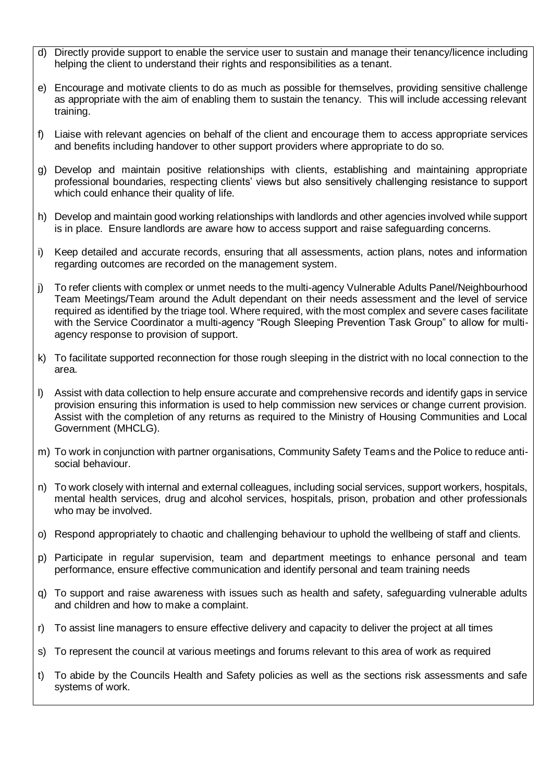- d) Directly provide support to enable the service user to sustain and manage their tenancy/licence including helping the client to understand their rights and responsibilities as a tenant.
- e) Encourage and motivate clients to do as much as possible for themselves, providing sensitive challenge as appropriate with the aim of enabling them to sustain the tenancy. This will include accessing relevant training.
- f) Liaise with relevant agencies on behalf of the client and encourage them to access appropriate services and benefits including handover to other support providers where appropriate to do so.
- g) Develop and maintain positive relationships with clients, establishing and maintaining appropriate professional boundaries, respecting clients' views but also sensitively challenging resistance to support which could enhance their quality of life.
- h) Develop and maintain good working relationships with landlords and other agencies involved while support is in place. Ensure landlords are aware how to access support and raise safeguarding concerns.
- i) Keep detailed and accurate records, ensuring that all assessments, action plans, notes and information regarding outcomes are recorded on the management system.
- j) To refer clients with complex or unmet needs to the multi-agency Vulnerable Adults Panel/Neighbourhood Team Meetings/Team around the Adult dependant on their needs assessment and the level of service required as identified by the triage tool. Where required, with the most complex and severe cases facilitate with the Service Coordinator a multi-agency "Rough Sleeping Prevention Task Group" to allow for multiagency response to provision of support.
- k) To facilitate supported reconnection for those rough sleeping in the district with no local connection to the area.
- l) Assist with data collection to help ensure accurate and comprehensive records and identify gaps in service provision ensuring this information is used to help commission new services or change current provision. Assist with the completion of any returns as required to the Ministry of Housing Communities and Local Government (MHCLG).
- m) To work in conjunction with partner organisations, Community Safety Teams and the Police to reduce antisocial behaviour.
- n) To work closely with internal and external colleagues, including social services, support workers, hospitals, mental health services, drug and alcohol services, hospitals, prison, probation and other professionals who may be involved.
- o) Respond appropriately to chaotic and challenging behaviour to uphold the wellbeing of staff and clients.
- p) Participate in regular supervision, team and department meetings to enhance personal and team performance, ensure effective communication and identify personal and team training needs
- q) To support and raise awareness with issues such as health and safety, safeguarding vulnerable adults and children and how to make a complaint.
- r) To assist line managers to ensure effective delivery and capacity to deliver the project at all times
- s) To represent the council at various meetings and forums relevant to this area of work as required
- t) To abide by the Councils Health and Safety policies as well as the sections risk assessments and safe systems of work.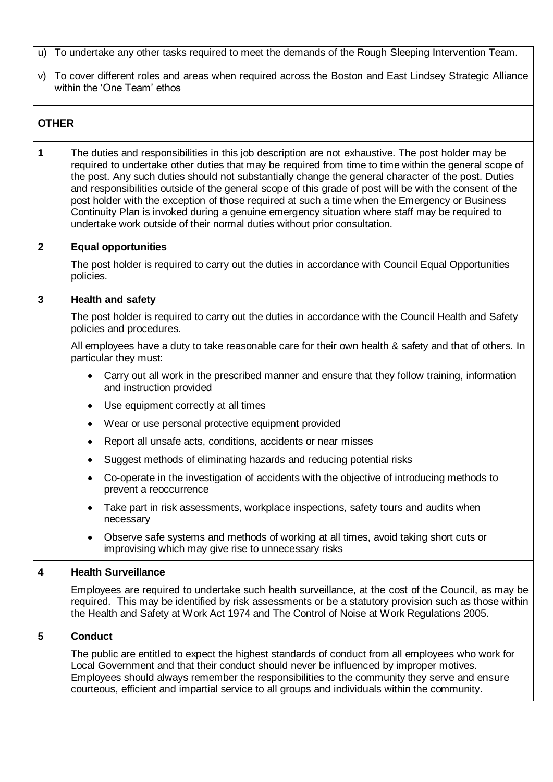- u) To undertake any other tasks required to meet the demands of the Rough Sleeping Intervention Team.
- v) To cover different roles and areas when required across the Boston and East Lindsey Strategic Alliance within the 'One Team' ethos

| <b>OTHER</b>   |                                                                                                                                                                                                                                                                                                                                                                                                                                                                                                                                                                                                                                                                                                                |  |  |
|----------------|----------------------------------------------------------------------------------------------------------------------------------------------------------------------------------------------------------------------------------------------------------------------------------------------------------------------------------------------------------------------------------------------------------------------------------------------------------------------------------------------------------------------------------------------------------------------------------------------------------------------------------------------------------------------------------------------------------------|--|--|
| $\overline{1}$ | The duties and responsibilities in this job description are not exhaustive. The post holder may be<br>required to undertake other duties that may be required from time to time within the general scope of<br>the post. Any such duties should not substantially change the general character of the post. Duties<br>and responsibilities outside of the general scope of this grade of post will be with the consent of the<br>post holder with the exception of those required at such a time when the Emergency or Business<br>Continuity Plan is invoked during a genuine emergency situation where staff may be required to<br>undertake work outside of their normal duties without prior consultation. |  |  |
| $\overline{2}$ | <b>Equal opportunities</b>                                                                                                                                                                                                                                                                                                                                                                                                                                                                                                                                                                                                                                                                                     |  |  |
|                | The post holder is required to carry out the duties in accordance with Council Equal Opportunities<br>policies.                                                                                                                                                                                                                                                                                                                                                                                                                                                                                                                                                                                                |  |  |
| $\mathbf{3}$   | <b>Health and safety</b>                                                                                                                                                                                                                                                                                                                                                                                                                                                                                                                                                                                                                                                                                       |  |  |
|                | The post holder is required to carry out the duties in accordance with the Council Health and Safety<br>policies and procedures.                                                                                                                                                                                                                                                                                                                                                                                                                                                                                                                                                                               |  |  |
|                | All employees have a duty to take reasonable care for their own health & safety and that of others. In<br>particular they must:                                                                                                                                                                                                                                                                                                                                                                                                                                                                                                                                                                                |  |  |
|                | Carry out all work in the prescribed manner and ensure that they follow training, information<br>$\bullet$<br>and instruction provided                                                                                                                                                                                                                                                                                                                                                                                                                                                                                                                                                                         |  |  |
|                | Use equipment correctly at all times<br>$\bullet$                                                                                                                                                                                                                                                                                                                                                                                                                                                                                                                                                                                                                                                              |  |  |
|                | Wear or use personal protective equipment provided<br>$\bullet$                                                                                                                                                                                                                                                                                                                                                                                                                                                                                                                                                                                                                                                |  |  |
|                | Report all unsafe acts, conditions, accidents or near misses<br>$\bullet$                                                                                                                                                                                                                                                                                                                                                                                                                                                                                                                                                                                                                                      |  |  |
|                | Suggest methods of eliminating hazards and reducing potential risks<br>٠                                                                                                                                                                                                                                                                                                                                                                                                                                                                                                                                                                                                                                       |  |  |
|                | Co-operate in the investigation of accidents with the objective of introducing methods to<br>$\bullet$<br>prevent a reoccurrence                                                                                                                                                                                                                                                                                                                                                                                                                                                                                                                                                                               |  |  |
|                | Take part in risk assessments, workplace inspections, safety tours and audits when<br>necessary                                                                                                                                                                                                                                                                                                                                                                                                                                                                                                                                                                                                                |  |  |
|                | Observe safe systems and methods of working at all times, avoid taking short cuts or<br>improvising which may give rise to unnecessary risks                                                                                                                                                                                                                                                                                                                                                                                                                                                                                                                                                                   |  |  |
| 4              | <b>Health Surveillance</b>                                                                                                                                                                                                                                                                                                                                                                                                                                                                                                                                                                                                                                                                                     |  |  |
|                | Employees are required to undertake such health surveillance, at the cost of the Council, as may be<br>required. This may be identified by risk assessments or be a statutory provision such as those within<br>the Health and Safety at Work Act 1974 and The Control of Noise at Work Regulations 2005.                                                                                                                                                                                                                                                                                                                                                                                                      |  |  |
| $5\phantom{1}$ | <b>Conduct</b>                                                                                                                                                                                                                                                                                                                                                                                                                                                                                                                                                                                                                                                                                                 |  |  |
|                | The public are entitled to expect the highest standards of conduct from all employees who work for<br>Local Government and that their conduct should never be influenced by improper motives.<br>Employees should always remember the responsibilities to the community they serve and ensure<br>courteous, efficient and impartial service to all groups and individuals within the community.                                                                                                                                                                                                                                                                                                                |  |  |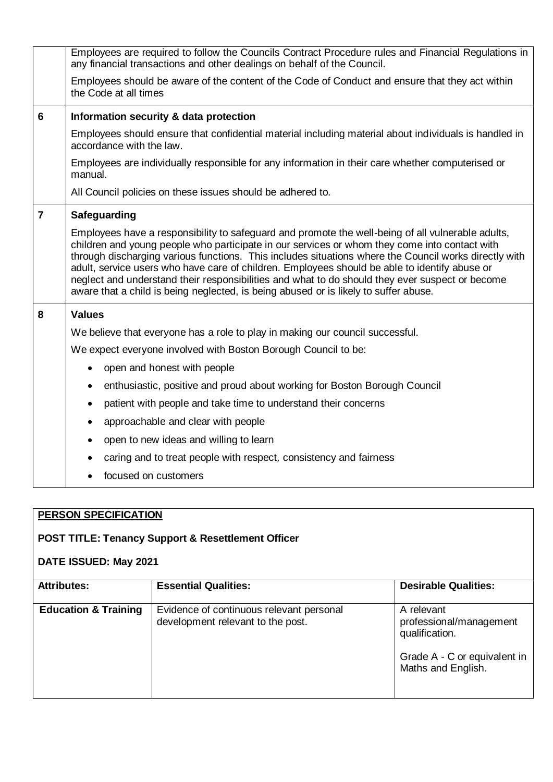|                | Employees are required to follow the Councils Contract Procedure rules and Financial Regulations in<br>any financial transactions and other dealings on behalf of the Council.                                                                                                                                                                                                                                                                                                                                                                                                                          |  |  |
|----------------|---------------------------------------------------------------------------------------------------------------------------------------------------------------------------------------------------------------------------------------------------------------------------------------------------------------------------------------------------------------------------------------------------------------------------------------------------------------------------------------------------------------------------------------------------------------------------------------------------------|--|--|
|                | Employees should be aware of the content of the Code of Conduct and ensure that they act within<br>the Code at all times                                                                                                                                                                                                                                                                                                                                                                                                                                                                                |  |  |
| 6              | Information security & data protection                                                                                                                                                                                                                                                                                                                                                                                                                                                                                                                                                                  |  |  |
|                | Employees should ensure that confidential material including material about individuals is handled in<br>accordance with the law.                                                                                                                                                                                                                                                                                                                                                                                                                                                                       |  |  |
|                | Employees are individually responsible for any information in their care whether computerised or<br>manual.                                                                                                                                                                                                                                                                                                                                                                                                                                                                                             |  |  |
|                | All Council policies on these issues should be adhered to.                                                                                                                                                                                                                                                                                                                                                                                                                                                                                                                                              |  |  |
| $\overline{7}$ | Safeguarding                                                                                                                                                                                                                                                                                                                                                                                                                                                                                                                                                                                            |  |  |
|                | Employees have a responsibility to safeguard and promote the well-being of all vulnerable adults,<br>children and young people who participate in our services or whom they come into contact with<br>through discharging various functions. This includes situations where the Council works directly with<br>adult, service users who have care of children. Employees should be able to identify abuse or<br>neglect and understand their responsibilities and what to do should they ever suspect or become<br>aware that a child is being neglected, is being abused or is likely to suffer abuse. |  |  |
| 8              | <b>Values</b>                                                                                                                                                                                                                                                                                                                                                                                                                                                                                                                                                                                           |  |  |
|                | We believe that everyone has a role to play in making our council successful.                                                                                                                                                                                                                                                                                                                                                                                                                                                                                                                           |  |  |
|                | We expect everyone involved with Boston Borough Council to be:                                                                                                                                                                                                                                                                                                                                                                                                                                                                                                                                          |  |  |
|                | open and honest with people<br>$\bullet$                                                                                                                                                                                                                                                                                                                                                                                                                                                                                                                                                                |  |  |
|                | enthusiastic, positive and proud about working for Boston Borough Council<br>$\bullet$                                                                                                                                                                                                                                                                                                                                                                                                                                                                                                                  |  |  |
|                | patient with people and take time to understand their concerns<br>$\bullet$                                                                                                                                                                                                                                                                                                                                                                                                                                                                                                                             |  |  |
|                | approachable and clear with people<br>$\bullet$                                                                                                                                                                                                                                                                                                                                                                                                                                                                                                                                                         |  |  |
|                | open to new ideas and willing to learn<br>$\bullet$                                                                                                                                                                                                                                                                                                                                                                                                                                                                                                                                                     |  |  |
|                | caring and to treat people with respect, consistency and fairness                                                                                                                                                                                                                                                                                                                                                                                                                                                                                                                                       |  |  |
|                | focused on customers                                                                                                                                                                                                                                                                                                                                                                                                                                                                                                                                                                                    |  |  |

## **PERSON SPECIFICATION**

## **POST TITLE: Tenancy Support & Resettlement Officer**

## **DATE ISSUED: May 2021**

| <b>Attributes:</b>              | <b>Essential Qualities:</b>                                                   | <b>Desirable Qualities:</b>                                                                                   |
|---------------------------------|-------------------------------------------------------------------------------|---------------------------------------------------------------------------------------------------------------|
| <b>Education &amp; Training</b> | Evidence of continuous relevant personal<br>development relevant to the post. | A relevant<br>professional/management<br>qualification.<br>Grade A - C or equivalent in<br>Maths and English. |